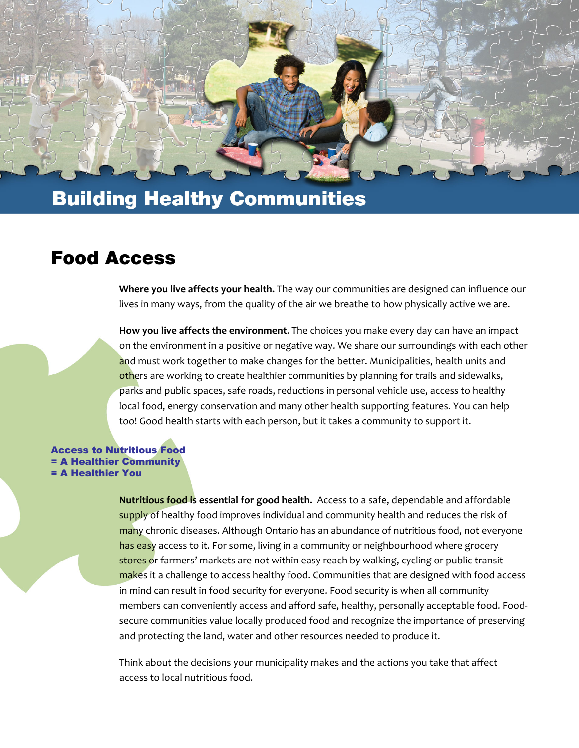

## **Building Healthy Communities**

### **Food Access**

**Where you live affects your health.** The way our communities are designed can influence our lives in many ways, from the quality of the air we breathe to how physically active we are.

**How you live affects the environment**. The choices you make every day can have an impact on the environment in a positive or negative way. We share our surroundings with each other and must work together to make changes for the better. Municipalities, health units and others are working to create healthier communities by planning for trails and sidewalks, parks and public spaces, safe roads, reductions in personal vehicle use, access to healthy local food, energy conservation and many other health supporting features. You can help too! Good health starts with each person, but it takes a community to support it.

Access to Nutritious Food = A Healthier Community = A Healthier You

> **Nutritious food is essential for good health.** Access to a safe, dependable and affordable supply of healthy food improves individual and community health and reduces the risk of many chronic diseases. Although Ontario has an abundance of nutritious food, not everyone has easy access to it. For some, living in a community or neighbourhood where grocery stores or farmers' markets are not within easy reach by walking, cycling or public transit makes it a challenge to access healthy food. Communities that are designed with food access in mind can result in food security for everyone. Food security is when all community members can conveniently access and afford safe, healthy, personally acceptable food. Food‐ secure communities value locally produced food and recognize the importance of preserving and protecting the land, water and other resources needed to produce it.

Think about the decisions your municipality makes and the actions you take that affect access to local nutritious food.